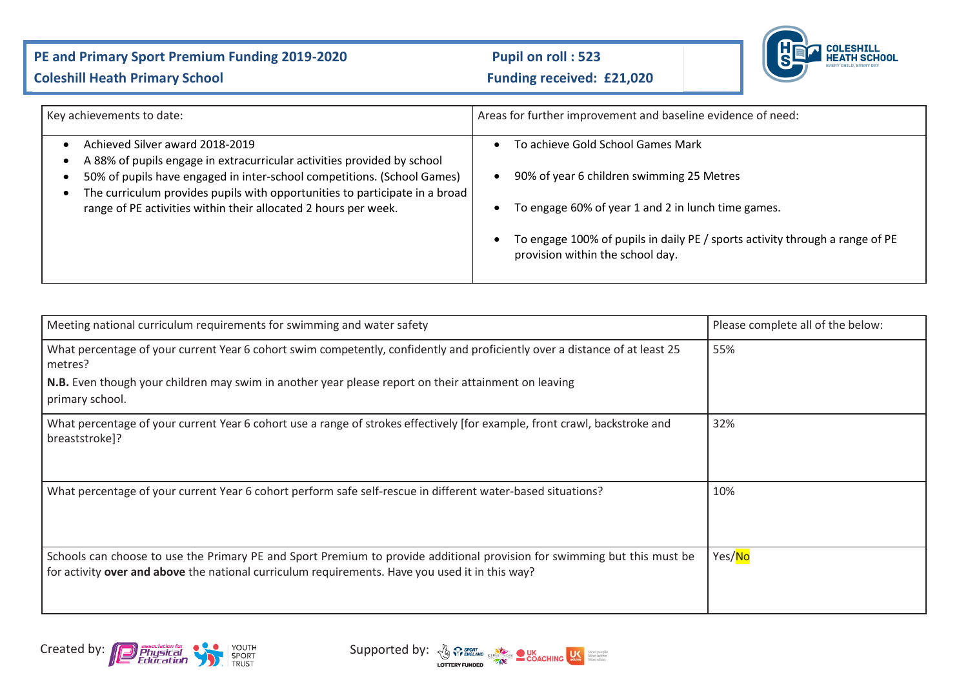## PE and Primary Sport Premium Funding 2019-2020 Pupil on roll : 523



## **Coleshill Heath Primary School Coleshill Heath Primary School Funding received: £21,020**

| Key achievements to date:                                                                                                                              | Areas for further improvement and baseline evidence of need:                                                     |
|--------------------------------------------------------------------------------------------------------------------------------------------------------|------------------------------------------------------------------------------------------------------------------|
| Achieved Silver award 2018-2019<br>A 88% of pupils engage in extracurricular activities provided by school                                             | To achieve Gold School Games Mark                                                                                |
| 50% of pupils have engaged in inter-school competitions. (School Games)<br>The curriculum provides pupils with opportunities to participate in a broad | 90% of year 6 children swimming 25 Metres                                                                        |
| range of PE activities within their allocated 2 hours per week.                                                                                        | To engage 60% of year 1 and 2 in lunch time games.                                                               |
|                                                                                                                                                        | To engage 100% of pupils in daily PE / sports activity through a range of PE<br>provision within the school day. |

| Meeting national curriculum requirements for swimming and water safety                                                                                                                                                      | Please complete all of the below: |
|-----------------------------------------------------------------------------------------------------------------------------------------------------------------------------------------------------------------------------|-----------------------------------|
| What percentage of your current Year 6 cohort swim competently, confidently and proficiently over a distance of at least 25<br>metres?                                                                                      | 55%                               |
| N.B. Even though your children may swim in another year please report on their attainment on leaving<br>primary school.                                                                                                     |                                   |
| What percentage of your current Year 6 cohort use a range of strokes effectively [for example, front crawl, backstroke and<br>breaststroke]?                                                                                | 32%                               |
| What percentage of your current Year 6 cohort perform safe self-rescue in different water-based situations?                                                                                                                 | 10%                               |
| Schools can choose to use the Primary PE and Sport Premium to provide additional provision for swimming but this must be<br>for activity over and above the national curriculum requirements. Have you used it in this way? | Yes/No                            |



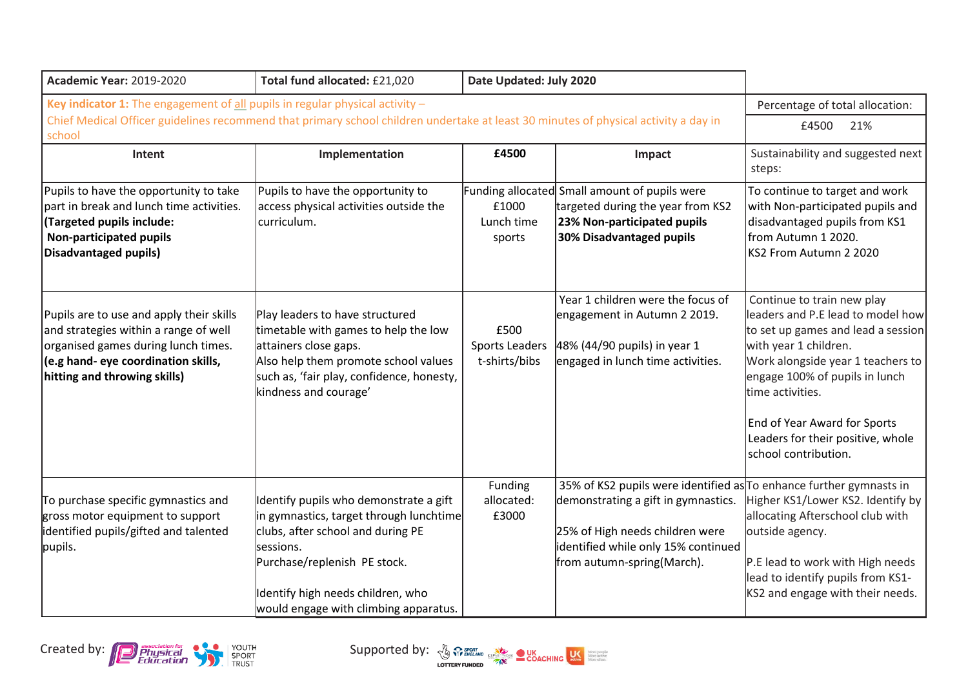| <b>Academic Year: 2019-2020</b>                                                                                                                                                                                                 | Total fund allocated: £21,020                                                                                                                                                                                                                     | Date Updated: July 2020                        |                                                                                                                                                                                                                    |                                                                                                                                                                                                                                                                                                                        |
|---------------------------------------------------------------------------------------------------------------------------------------------------------------------------------------------------------------------------------|---------------------------------------------------------------------------------------------------------------------------------------------------------------------------------------------------------------------------------------------------|------------------------------------------------|--------------------------------------------------------------------------------------------------------------------------------------------------------------------------------------------------------------------|------------------------------------------------------------------------------------------------------------------------------------------------------------------------------------------------------------------------------------------------------------------------------------------------------------------------|
| Key indicator 1: The engagement of all pupils in regular physical activity $-$<br>Chief Medical Officer guidelines recommend that primary school children undertake at least 30 minutes of physical activity a day in<br>school | Percentage of total allocation:<br>21%<br>£4500                                                                                                                                                                                                   |                                                |                                                                                                                                                                                                                    |                                                                                                                                                                                                                                                                                                                        |
| Intent                                                                                                                                                                                                                          | Implementation                                                                                                                                                                                                                                    | £4500                                          | Impact                                                                                                                                                                                                             | Sustainability and suggested next<br>steps:                                                                                                                                                                                                                                                                            |
| Pupils to have the opportunity to take<br>part in break and lunch time activities.<br>(Targeted pupils include:<br><b>Non-participated pupils</b><br>Disadvantaged pupils)                                                      | Pupils to have the opportunity to<br>access physical activities outside the<br>curriculum.                                                                                                                                                        | £1000<br>Lunch time<br>sports                  | Funding allocated Small amount of pupils were<br>targeted during the year from KS2<br>23% Non-participated pupils<br>30% Disadvantaged pupils                                                                      | To continue to target and work<br>with Non-participated pupils and<br>disadvantaged pupils from KS1<br>from Autumn 1 2020.<br>KS2 From Autumn 2 2020                                                                                                                                                                   |
| Pupils are to use and apply their skills<br>and strategies within a range of well<br>organised games during lunch times.<br>(e.g hand- eye coordination skills,<br>hitting and throwing skills)                                 | Play leaders to have structured<br>timetable with games to help the low<br>attainers close gaps.<br>Also help them promote school values<br>such as, 'fair play, confidence, honesty,<br>kindness and courage'                                    | £500<br><b>Sports Leaders</b><br>t-shirts/bibs | Year 1 children were the focus of<br>engagement in Autumn 2 2019.<br>48% (44/90 pupils) in year 1<br>engaged in lunch time activities.                                                                             | Continue to train new play<br>leaders and P.E lead to model how<br>to set up games and lead a session<br>with year 1 children.<br>Work alongside year 1 teachers to<br>engage 100% of pupils in lunch<br>time activities.<br>End of Year Award for Sports<br>Leaders for their positive, whole<br>school contribution. |
| To purchase specific gymnastics and<br>gross motor equipment to support<br>identified pupils/gifted and talented<br>pupils.                                                                                                     | Identify pupils who demonstrate a gift<br>in gymnastics, target through lunchtime<br>clubs, after school and during PE<br>sessions.<br>Purchase/replenish PE stock.<br>Identify high needs children, who<br>would engage with climbing apparatus. | Funding<br>allocated:<br>£3000                 | 35% of KS2 pupils were identified as To enhance further gymnasts in<br>demonstrating a gift in gymnastics.<br>25% of High needs children were<br>identified while only 15% continued<br>from autumn-spring(March). | Higher KS1/Lower KS2. Identify by<br>allocating Afterschool club with<br>outside agency.<br>P.E lead to work with High needs<br>lead to identify pupils from KS1-<br>KS2 and engage with their needs.                                                                                                                  |



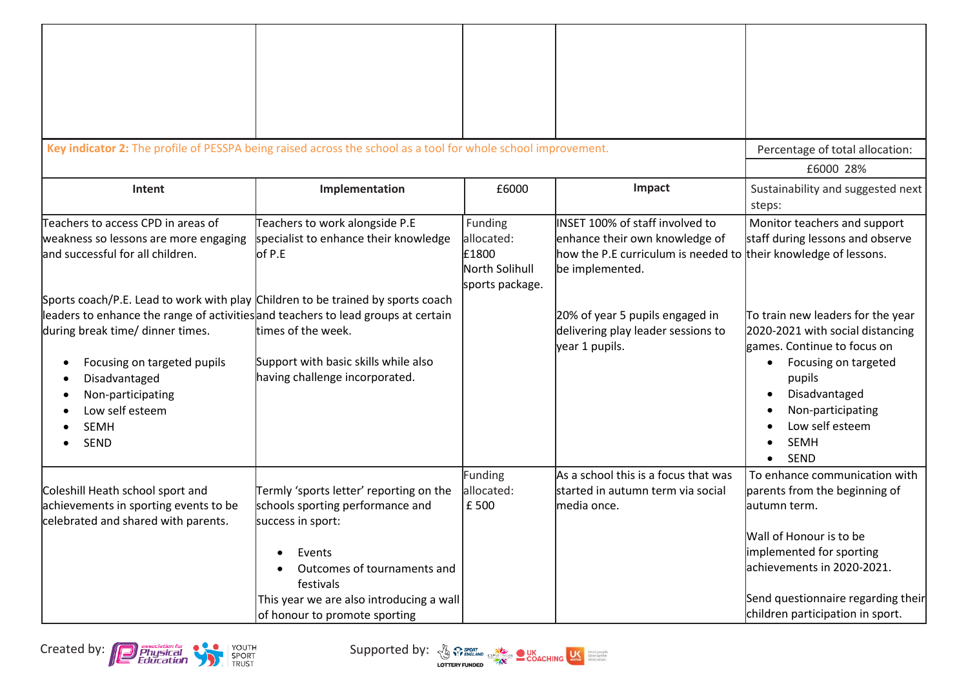| Key indicator 2: The profile of PESSPA being raised across the school as a tool for whole school improvement.                                                                                                                                                                                                           |                                                                                                                                                                                                                                     |                                                                     |                                                                                                                                                         | Percentage of total allocation:<br>£6000 28%                                                                                                                                                                                                                         |
|-------------------------------------------------------------------------------------------------------------------------------------------------------------------------------------------------------------------------------------------------------------------------------------------------------------------------|-------------------------------------------------------------------------------------------------------------------------------------------------------------------------------------------------------------------------------------|---------------------------------------------------------------------|---------------------------------------------------------------------------------------------------------------------------------------------------------|----------------------------------------------------------------------------------------------------------------------------------------------------------------------------------------------------------------------------------------------------------------------|
| Intent                                                                                                                                                                                                                                                                                                                  | Implementation                                                                                                                                                                                                                      | £6000                                                               | Impact                                                                                                                                                  | Sustainability and suggested next<br>steps:                                                                                                                                                                                                                          |
| Teachers to access CPD in areas of<br>weakness so lessons are more engaging<br>and successful for all children.                                                                                                                                                                                                         | Teachers to work alongside P.E<br>specialist to enhance their knowledge<br>of P.E                                                                                                                                                   | Funding<br>allocated:<br>£1800<br>North Solihull<br>sports package. | INSET 100% of staff involved to<br>enhance their own knowledge of<br>how the P.E curriculum is needed to their knowledge of lessons.<br>be implemented. | Monitor teachers and support<br>staff during lessons and observe                                                                                                                                                                                                     |
| Sports coach/P.E. Lead to work with play Children to be trained by sports coach<br>leaders to enhance the range of activities and teachers to lead groups at certain<br>during break time/ dinner times.<br>Focusing on targeted pupils<br>Disadvantaged<br>Non-participating<br>Low self esteem<br><b>SEMH</b><br>SEND | times of the week.<br>Support with basic skills while also<br>having challenge incorporated.                                                                                                                                        |                                                                     | 20% of year 5 pupils engaged in<br>delivering play leader sessions to<br>year 1 pupils.                                                                 | To train new leaders for the year<br>2020-2021 with social distancing<br>games. Continue to focus on<br>Focusing on targeted<br>$\bullet$<br>pupils<br>Disadvantaged<br>$\bullet$<br>Non-participating<br>$\bullet$<br>Low self esteem<br><b>SEMH</b><br><b>SEND</b> |
| Coleshill Heath school sport and<br>achievements in sporting events to be<br>celebrated and shared with parents.                                                                                                                                                                                                        | Termly 'sports letter' reporting on the<br>schools sporting performance and<br>success in sport:<br>Events<br>Outcomes of tournaments and<br>festivals<br>This year we are also introducing a wall<br>of honour to promote sporting | Funding<br>allocated:<br>£ 500                                      | As a school this is a focus that was<br>started in autumn term via social<br>media once.                                                                | To enhance communication with<br>parents from the beginning of<br>lautumn term.<br>Wall of Honour is to be<br>implemented for sporting<br>achievements in 2020-2021.<br>Send questionnaire regarding their<br>children participation in sport.                       |



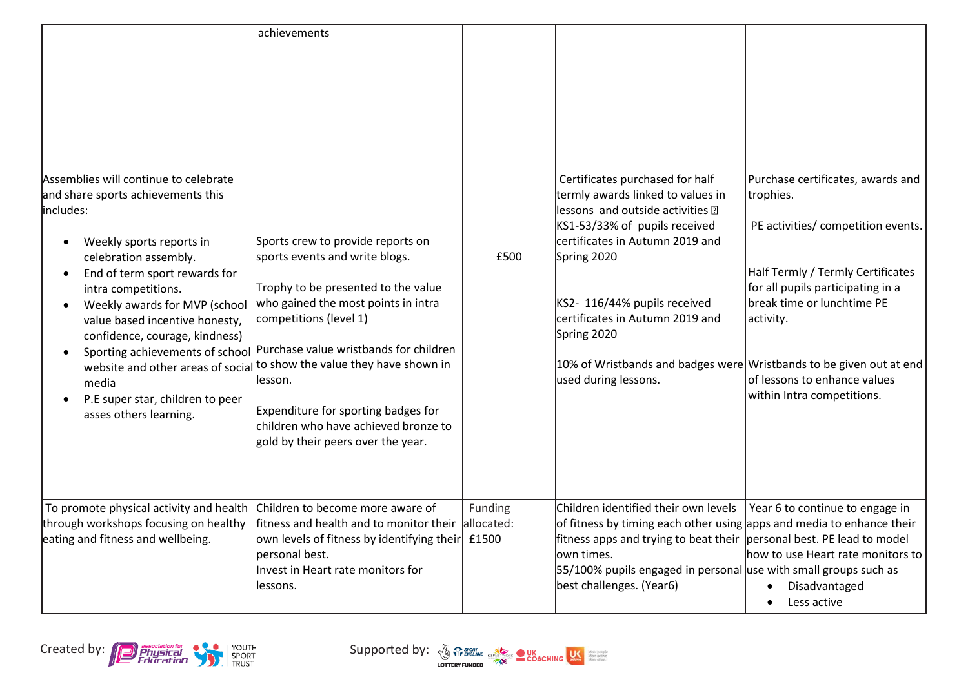|                                                                                                                                                                                                                                                                                                                                                                                                                      | achievements                                                                                                                                                                                                                                                                                                                                                                                                                     |                       |                                                                                                                                                                                                                                                                                                                                                                              |                                                                                                                                                                                                                                                                         |
|----------------------------------------------------------------------------------------------------------------------------------------------------------------------------------------------------------------------------------------------------------------------------------------------------------------------------------------------------------------------------------------------------------------------|----------------------------------------------------------------------------------------------------------------------------------------------------------------------------------------------------------------------------------------------------------------------------------------------------------------------------------------------------------------------------------------------------------------------------------|-----------------------|------------------------------------------------------------------------------------------------------------------------------------------------------------------------------------------------------------------------------------------------------------------------------------------------------------------------------------------------------------------------------|-------------------------------------------------------------------------------------------------------------------------------------------------------------------------------------------------------------------------------------------------------------------------|
| Assemblies will continue to celebrate<br>and share sports achievements this<br>includes:<br>Weekly sports reports in<br>celebration assembly.<br>End of term sport rewards for<br>intra competitions.<br>Weekly awards for MVP (school<br>value based incentive honesty,<br>confidence, courage, kindness)<br>Sporting achievements of school<br>media<br>P.E super star, children to peer<br>asses others learning. | Sports crew to provide reports on<br>sports events and write blogs.<br>Trophy to be presented to the value<br>who gained the most points in intra<br>competitions (level 1)<br>Purchase value wristbands for children<br>website and other areas of social to show the value they have shown in<br>llesson.<br>Expenditure for sporting badges for<br>children who have achieved bronze to<br>gold by their peers over the year. | £500                  | Certificates purchased for half<br>termly awards linked to values in<br>lessons and outside activities ?<br>KS1-53/33% of pupils received<br>certificates in Autumn 2019 and<br>Spring 2020<br>KS2- 116/44% pupils received<br>certificates in Autumn 2019 and<br>Spring 2020<br>10% of Wristbands and badges were Wristbands to be given out at end<br>used during lessons. | Purchase certificates, awards and<br>trophies.<br>PE activities/ competition events.<br>Half Termly / Termly Certificates<br>for all pupils participating in a<br>break time or lunchtime PE<br>activity.<br>of lessons to enhance values<br>within Intra competitions. |
| To promote physical activity and health<br>through workshops focusing on healthy<br>eating and fitness and wellbeing.                                                                                                                                                                                                                                                                                                | Children to become more aware of<br>fitness and health and to monitor their<br>own levels of fitness by identifying their £1500<br>personal best.<br>Invest in Heart rate monitors for<br>lessons.                                                                                                                                                                                                                               | Funding<br>allocated: | Children identified their own levels<br>of fitness by timing each other using apps and media to enhance their<br>fitness apps and trying to beat their  personal best. PE lead to model<br>lown times.<br>55/100% pupils engaged in personal use with small groups such as<br>best challenges. (Year6)                                                                       | Year 6 to continue to engage in<br>how to use Heart rate monitors to<br>Disadvantaged<br>$\bullet$<br>Less active<br>$\bullet$                                                                                                                                          |

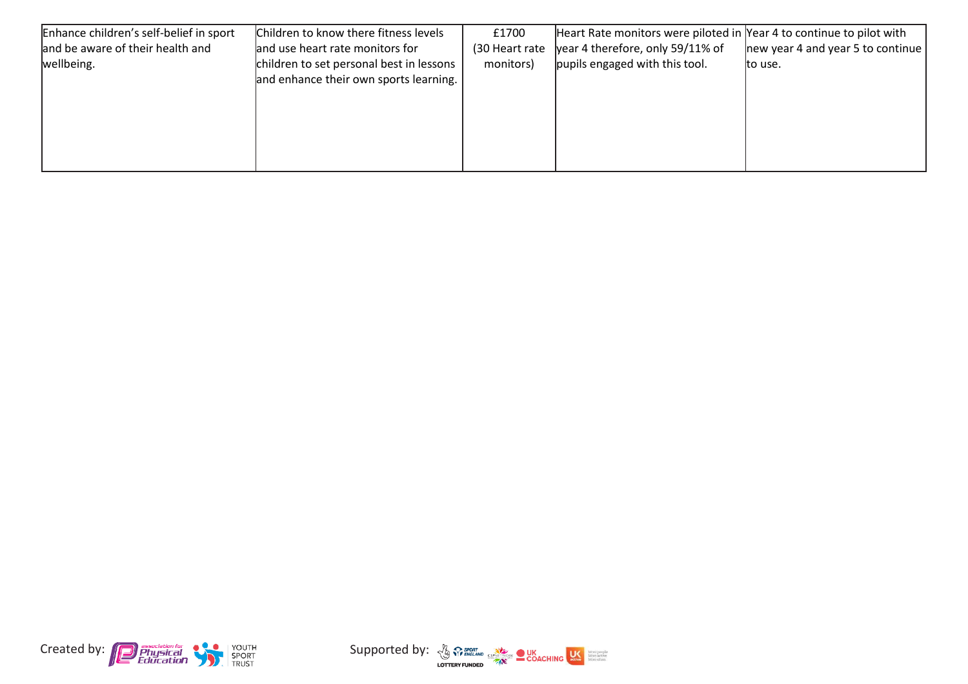| Enhance children's self-belief in sport | Children to know there fitness levels    | £1700           | Heart Rate monitors were piloted in Year 4 to continue to pilot with |                                   |
|-----------------------------------------|------------------------------------------|-----------------|----------------------------------------------------------------------|-----------------------------------|
| and be aware of their health and        | and use heart rate monitors for          | (30 Heart rate) | year 4 therefore, only 59/11% of                                     | new year 4 and year 5 to continue |
| wellbeing.                              | children to set personal best in lessons | monitors)       | pupils engaged with this tool.                                       | to use.                           |
|                                         | and enhance their own sports learning.   |                 |                                                                      |                                   |
|                                         |                                          |                 |                                                                      |                                   |
|                                         |                                          |                 |                                                                      |                                   |
|                                         |                                          |                 |                                                                      |                                   |
|                                         |                                          |                 |                                                                      |                                   |
|                                         |                                          |                 |                                                                      |                                   |



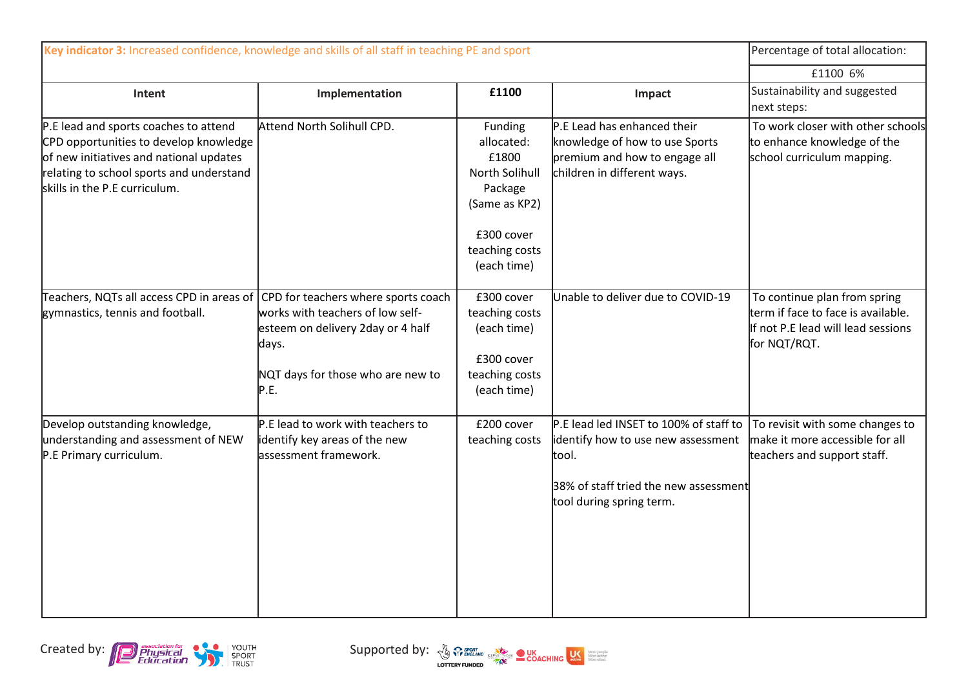| Key indicator 3: Increased confidence, knowledge and skills of all staff in teaching PE and sport                                                                                                       |                                                                                                                                                                    |                                                                                                                             |                                                                                                                                                            | Percentage of total allocation:                                                                                          |
|---------------------------------------------------------------------------------------------------------------------------------------------------------------------------------------------------------|--------------------------------------------------------------------------------------------------------------------------------------------------------------------|-----------------------------------------------------------------------------------------------------------------------------|------------------------------------------------------------------------------------------------------------------------------------------------------------|--------------------------------------------------------------------------------------------------------------------------|
|                                                                                                                                                                                                         |                                                                                                                                                                    |                                                                                                                             |                                                                                                                                                            | £1100 6%                                                                                                                 |
| Intent                                                                                                                                                                                                  | Implementation                                                                                                                                                     | £1100                                                                                                                       | Impact                                                                                                                                                     | Sustainability and suggested<br>next steps:                                                                              |
| P.E lead and sports coaches to attend<br>CPD opportunities to develop knowledge<br>of new initiatives and national updates<br>relating to school sports and understand<br>skills in the P.E curriculum. | Attend North Solihull CPD.                                                                                                                                         | Funding<br>allocated:<br>£1800<br>North Solihull<br>Package<br>(Same as KP2)<br>£300 cover<br>teaching costs<br>(each time) | P.E Lead has enhanced their<br>knowledge of how to use Sports<br>premium and how to engage all<br>children in different ways.                              | To work closer with other schools<br>to enhance knowledge of the<br>school curriculum mapping.                           |
| Teachers, NQTs all access CPD in areas of<br>gymnastics, tennis and football.                                                                                                                           | CPD for teachers where sports coach<br>works with teachers of low self-<br>esteem on delivery 2day or 4 half<br>days.<br>NQT days for those who are new to<br>P.E. | £300 cover<br>teaching costs<br>(each time)<br>£300 cover<br>teaching costs<br>(each time)                                  | Unable to deliver due to COVID-19                                                                                                                          | To continue plan from spring<br>term if face to face is available.<br>If not P.E lead will lead sessions<br>for NQT/RQT. |
| Develop outstanding knowledge,<br>understanding and assessment of NEW<br>P.E Primary curriculum.                                                                                                        | P.E lead to work with teachers to<br>identify key areas of the new<br>assessment framework.                                                                        | £200 cover<br>teaching costs                                                                                                | P.E lead led INSET to 100% of staff to<br>identify how to use new assessment<br>tool.<br>38% of staff tried the new assessment<br>tool during spring term. | To revisit with some changes to<br>make it more accessible for all<br>teachers and support staff.                        |



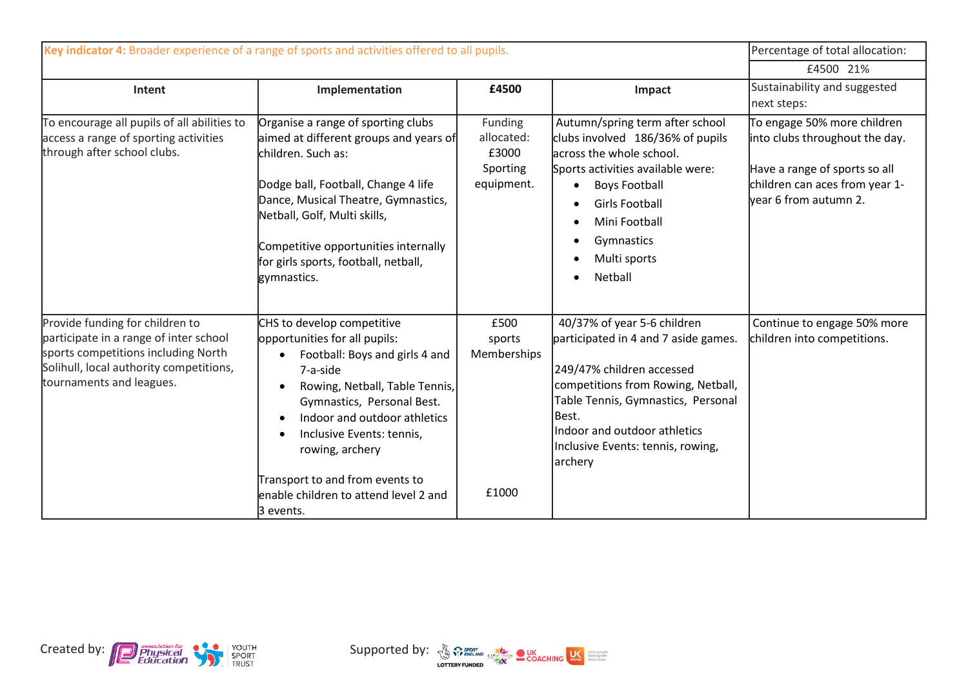| Key indicator 4: Broader experience of a range of sports and activities offered to all pupils.                                                                                          |                                                                                                                                                                                                                                                                                                                                                                                           |                                                          |                                                                                                                                                                                                                                                                       | Percentage of total allocation:                                                                                                                           |
|-----------------------------------------------------------------------------------------------------------------------------------------------------------------------------------------|-------------------------------------------------------------------------------------------------------------------------------------------------------------------------------------------------------------------------------------------------------------------------------------------------------------------------------------------------------------------------------------------|----------------------------------------------------------|-----------------------------------------------------------------------------------------------------------------------------------------------------------------------------------------------------------------------------------------------------------------------|-----------------------------------------------------------------------------------------------------------------------------------------------------------|
|                                                                                                                                                                                         |                                                                                                                                                                                                                                                                                                                                                                                           |                                                          |                                                                                                                                                                                                                                                                       | £4500 21%                                                                                                                                                 |
| Intent                                                                                                                                                                                  | Implementation                                                                                                                                                                                                                                                                                                                                                                            | £4500                                                    | Impact                                                                                                                                                                                                                                                                | Sustainability and suggested<br>next steps:                                                                                                               |
| To encourage all pupils of all abilities to<br>access a range of sporting activities<br>through after school clubs.                                                                     | Organise a range of sporting clubs<br>aimed at different groups and years of<br>children. Such as:<br>Dodge ball, Football, Change 4 life<br>Dance, Musical Theatre, Gymnastics,<br>Netball, Golf, Multi skills,<br>Competitive opportunities internally<br>for girls sports, football, netball,<br>gymnastics.                                                                           | Funding<br>allocated:<br>£3000<br>Sporting<br>equipment. | Autumn/spring term after school<br>clubs involved 186/36% of pupils<br>lacross the whole school.<br>Sports activities available were:<br><b>Boys Football</b><br><b>Girls Football</b><br>Mini Football<br>Gymnastics<br>Multi sports<br>Netball                      | To engage 50% more children<br>into clubs throughout the day.<br>Have a range of sports so all<br>children can aces from year 1-<br>vear 6 from autumn 2. |
| Provide funding for children to<br>participate in a range of inter school<br>sports competitions including North<br>Solihull, local authority competitions,<br>tournaments and leagues. | CHS to develop competitive<br>opportunities for all pupils:<br>Football: Boys and girls 4 and<br>7-a-side<br>Rowing, Netball, Table Tennis,<br>$\bullet$<br>Gymnastics, Personal Best.<br>Indoor and outdoor athletics<br>$\bullet$<br>Inclusive Events: tennis,<br>$\bullet$<br>rowing, archery<br>Transport to and from events to<br>enable children to attend level 2 and<br>3 events. | £500<br>sports<br>Memberships<br>£1000                   | 40/37% of year 5-6 children<br>participated in 4 and 7 aside games.<br>249/47% children accessed<br>competitions from Rowing, Netball,<br>Table Tennis, Gymnastics, Personal<br>Best.<br>Indoor and outdoor athletics<br>Inclusive Events: tennis, rowing,<br>archery | Continue to engage 50% more<br>children into competitions.                                                                                                |



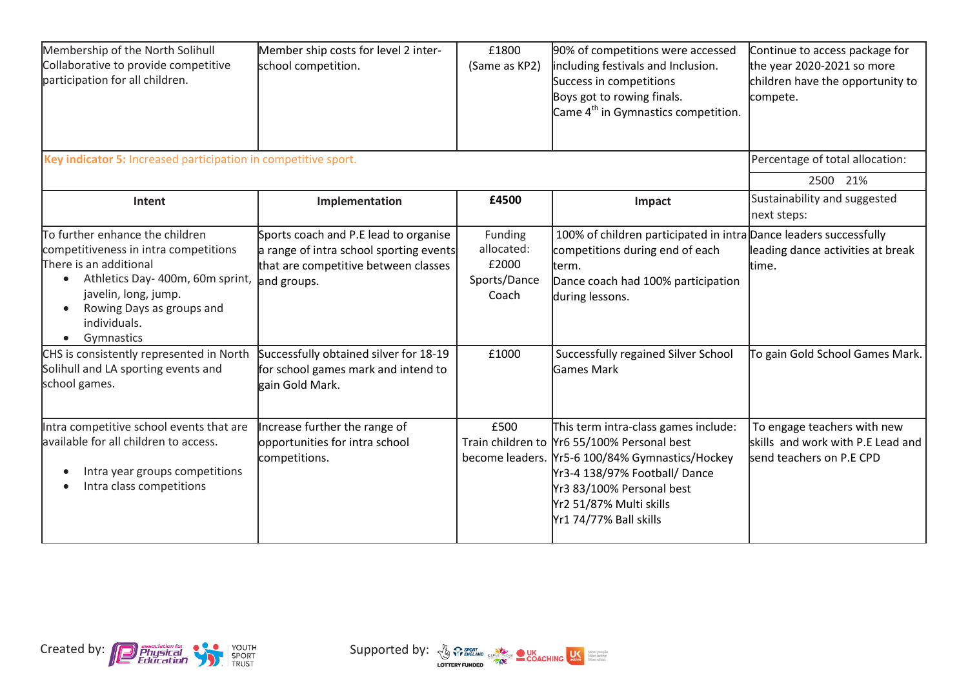| Membership of the North Solihull<br>Collaborative to provide competitive<br>participation for all children.                                                                                                                                         | Member ship costs for level 2 inter-<br>school competition.                                                                             | £1800<br>(Same as KP2)                                  | 90% of competitions were accessed<br>including festivals and Inclusion.<br>Success in competitions<br>Boys got to rowing finals.<br>Came 4 <sup>th</sup> in Gymnastics competition.                                                                       | Continue to access package for<br>the year 2020-2021 so more<br>children have the opportunity to<br>compete. |
|-----------------------------------------------------------------------------------------------------------------------------------------------------------------------------------------------------------------------------------------------------|-----------------------------------------------------------------------------------------------------------------------------------------|---------------------------------------------------------|-----------------------------------------------------------------------------------------------------------------------------------------------------------------------------------------------------------------------------------------------------------|--------------------------------------------------------------------------------------------------------------|
| Key indicator 5: Increased participation in competitive sport.                                                                                                                                                                                      |                                                                                                                                         |                                                         |                                                                                                                                                                                                                                                           | Percentage of total allocation:<br>2500 21%                                                                  |
| Intent                                                                                                                                                                                                                                              | Implementation                                                                                                                          | £4500                                                   | Impact                                                                                                                                                                                                                                                    | Sustainability and suggested<br>next steps:                                                                  |
| To further enhance the children<br>competitiveness in intra competitions<br>There is an additional<br>Athletics Day- 400m, 60m sprint,<br>$\bullet$<br>javelin, long, jump.<br>Rowing Days as groups and<br>individuals.<br>Gymnastics<br>$\bullet$ | Sports coach and P.E lead to organise<br>a range of intra school sporting events<br>that are competitive between classes<br>and groups. | Funding<br>allocated:<br>£2000<br>Sports/Dance<br>Coach | 100% of children participated in intra Dance leaders successfully<br>competitions during end of each<br>term.<br>Dance coach had 100% participation<br>during lessons.                                                                                    | leading dance activities at break<br>time.                                                                   |
| CHS is consistently represented in North<br>Solihull and LA sporting events and<br>school games.                                                                                                                                                    | Successfully obtained silver for 18-19<br>for school games mark and intend to<br>gain Gold Mark.                                        | £1000                                                   | Successfully regained Silver School<br><b>Games Mark</b>                                                                                                                                                                                                  | To gain Gold School Games Mark.                                                                              |
| Intra competitive school events that are<br>available for all children to access.<br>Intra year groups competitions<br>Intra class competitions                                                                                                     | Increase further the range of<br>opportunities for intra school<br>competitions.                                                        | £500                                                    | This term intra-class games include:<br>Train children to Yr6 55/100% Personal best<br>become leaders. Yr5-6 100/84% Gymnastics/Hockey<br>Yr3-4 138/97% Football/ Dance<br>Yr3 83/100% Personal best<br>Yr2 51/87% Multi skills<br>Yr1 74/77% Ball skills | To engage teachers with new<br>skills and work with P.E Lead and<br>send teachers on P.E CPD                 |